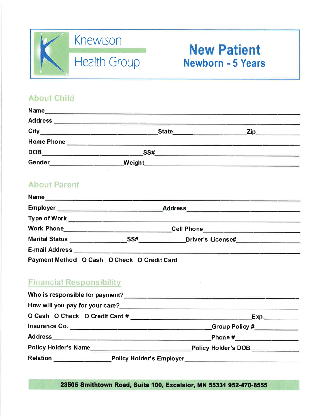

# **New Patient Newborn - 5 Years**

### **About Child**

| Name              |              |     |
|-------------------|--------------|-----|
| <b>Address</b>    |              |     |
| City              | <b>State</b> | Zip |
| <b>Home Phone</b> |              |     |
| <b>DOB</b>        | SS#          |     |
| <b>Gender</b>     | Weight       |     |

## **About Parent**

| <b>Name</b>                                  |     |                                                                                                                           |  |
|----------------------------------------------|-----|---------------------------------------------------------------------------------------------------------------------------|--|
| Employer ___________________________________ |     |                                                                                                                           |  |
| Type of Work ______________________________  |     |                                                                                                                           |  |
| <b>Work Phone</b>                            |     | Cell Phone__________________________________                                                                              |  |
| <b>Marital Status</b>                        | SS# | Driver's License#                                                                                                         |  |
| <b>E-mail Address</b>                        |     | <u> 1989 - Jan Barnett, amerikan bestecht besteht aus dem Barnett aus dem Barnett aus dem Barnett aus dem Barnett aus</u> |  |
| Payment Method O Cash O Check O Credit Card  |     |                                                                                                                           |  |

## **Financial Responsibility**

|                      | Exp.                                                         |
|----------------------|--------------------------------------------------------------|
|                      | _Group Policy #______________                                |
|                      | Phone # ______________                                       |
|                      | Policy Holder's DOB                                          |
| Relation ___________ | _Policy Holder's Employer___________________________________ |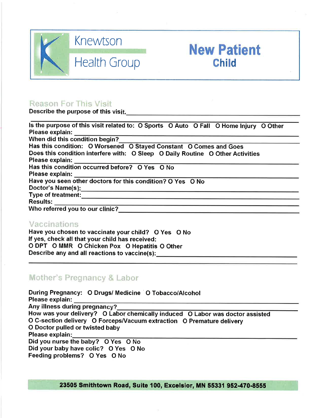

## **New Patient** Child

#### **Reason For This Visit**

Describe the purpose of this visit.

| Is the purpose of this visit related to: O Sports O Auto O Fall O Home Injury O Other                                                                                                                                                |  |  |  |  |  |
|--------------------------------------------------------------------------------------------------------------------------------------------------------------------------------------------------------------------------------------|--|--|--|--|--|
| Please explain:                                                                                                                                                                                                                      |  |  |  |  |  |
| When did this condition begin?                                                                                                                                                                                                       |  |  |  |  |  |
| Has this condition: O Worsened O Stayed Constant O Comes and Goes                                                                                                                                                                    |  |  |  |  |  |
| Does this condition interfere with: O Sleep O Daily Routine O Other Activities                                                                                                                                                       |  |  |  |  |  |
| Please explain:                                                                                                                                                                                                                      |  |  |  |  |  |
| Has this condition occurred before? O Yes O No                                                                                                                                                                                       |  |  |  |  |  |
| Please explain:                                                                                                                                                                                                                      |  |  |  |  |  |
| Have you seen other doctors for this condition? O Yes O No                                                                                                                                                                           |  |  |  |  |  |
| Doctor's Name(s):                                                                                                                                                                                                                    |  |  |  |  |  |
| Type of treatment: <u>contract the contract of the contract of the contract of the contract of the contract of the contract of the contract of the contract of the contract of the contract of the contract of the contract of t</u> |  |  |  |  |  |
| Results:                                                                                                                                                                                                                             |  |  |  |  |  |
| Who referred you to our clinic?                                                                                                                                                                                                      |  |  |  |  |  |

#### Vaccinations

Have you chosen to vaccinate your child? O Yes O No If yes, check all that your child has received: O DPT O MMR O Chicken Pox O Hepatitis O Other Describe any and all reactions to vaccine(s):

#### Mother's Pregnancy & Labor

During Pregnancy: O Drugs/ Medicine O Tobacco/Alcohol Please explain: Any illness during pregnancy? How was your delivery? O Labor chemically induced O Labor was doctor assisted O C-section delivery O Forceps/Vacuum extraction O Premature delivery O Doctor pulled or twisted baby Please explain: Did you nurse the baby? O Yes O No Did your baby have colic? O Yes O No Feeding problems? O Yes O No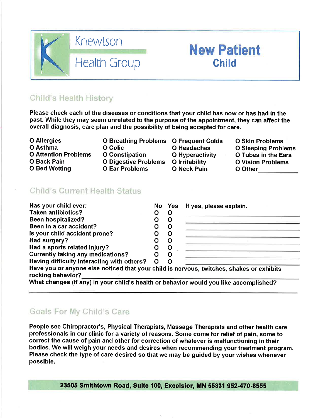

## Child's Health History

Please check each of the diseases or conditions that your child has now or has had in the past. While they may seem unrelated to the purpose of the appointment, they can affect the overall diagnosis, care plan and the possibility of being accepted for care.

- **O** Allergies O Asthma **O Attention Problems O Back Pain**
- **O Bed Wetting**
- O Colic O Constipation O Digestive Problems O Irritability **O Ear Problems**
- **O Breathing Problems O Frequent Colds** O Headaches **O** Hyperactivity O Neck Pain

**New Patient** 

**Child** 

**O Skin Problems O Sleeping Problems** O Tubes in the Ears **O Vision Problems** O Other **Contract Control** 

#### Child's Current Health Status

| Has your child ever:                                                                                          |          | No Yes | If yes, please explain. |
|---------------------------------------------------------------------------------------------------------------|----------|--------|-------------------------|
| <b>Taken antibiotics?</b>                                                                                     |          | O      |                         |
| <b>Been hospitalized?</b>                                                                                     |          | O      |                         |
| Been in a car accident?                                                                                       |          | O      |                         |
| Is your child accident prone?                                                                                 |          | O      |                         |
| Had surgery?                                                                                                  |          | O      |                         |
| Had a sports related injury?                                                                                  |          | O      |                         |
| <b>Currently taking any medications?</b>                                                                      |          | 0      |                         |
| Having difficulty interacting with others?                                                                    | $\Omega$ | O      |                         |
| Have you or anyone else noticed that your child is nervous, twitches, shakes or exhibits<br>rocking hebavior? |          |        |                         |

What changes (if any) in your child's health or behavior would you like accomplished?

## Goals For My Child's Care

People see Chiropractor's, Physical Therapists, Massage Therapists and other health care professionals in our clinic for a variety of reasons. Some come for relief of pain, some to correct the cause of pain and other for correction of whatever is malfunctioning in their bodies. We will weigh your needs and desires when recommending your treatment program. Please check the type of care desired so that we may be quided by your wishes whenever possible.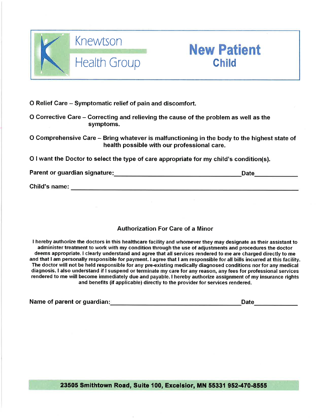



O Relief Care – Symptomatic relief of pain and discomfort.

O Corrective Care – Correcting and relieving the cause of the problem as well as the symptoms.

O Comprehensive Care – Bring whatever is malfunctioning in the body to the highest state of health possible with our professional care.

O I want the Doctor to select the type of care appropriate for my child's condition(s).

Child's name: the contract of the contract of the contract of the contract of the contract of the contract of the contract of the contract of the contract of the contract of the contract of the contract of the contract of

#### **Authorization For Care of a Minor**

I hereby authorize the doctors in this healthcare facility and whomever they may designate as their assistant to administer treatment to work with my condition through the use of adjustments and procedures the doctor deems appropriate. I clearly understand and agree that all services rendered to me are charged directly to me and that I am personally responsible for payment. I agree that I am responsible for all bills incurred at this facility. The doctor will not be held responsible for any pre-existing medically diagnosed conditions nor for any medical diagnosis. I also understand if I suspend or terminate my care for any reason, any fees for professional services rendered to me will become immediately due and payable. I hereby authorize assignment of my insurance rights and benefits (if applicable) directly to the provider for services rendered.